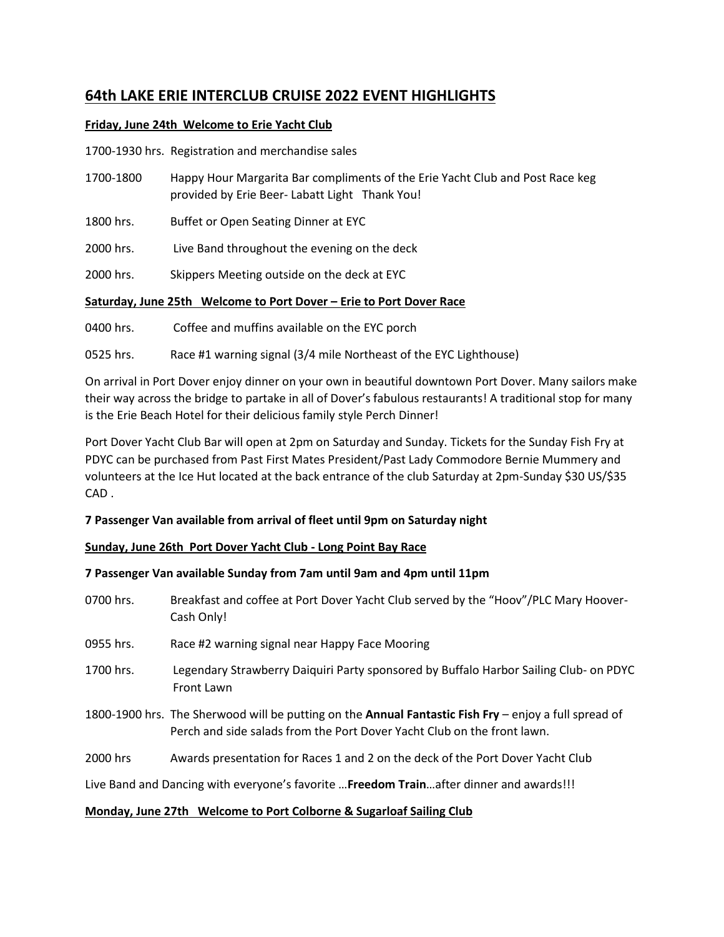# **64th LAKE ERIE INTERCLUB CRUISE 2022 EVENT HIGHLIGHTS**

### **Friday, June 24th Welcome to Erie Yacht Club**

1700-1930 hrs. Registration and merchandise sales

- 1700-1800 Happy Hour Margarita Bar compliments of the Erie Yacht Club and Post Race keg provided by Erie Beer- Labatt Light Thank You!
- 1800 hrs. Buffet or Open Seating Dinner at EYC
- 2000 hrs. Live Band throughout the evening on the deck
- 2000 hrs. Skippers Meeting outside on the deck at EYC

#### **Saturday, June 25th Welcome to Port Dover – Erie to Port Dover Race**

0400 hrs. Coffee and muffins available on the EYC porch

0525 hrs. Race #1 warning signal (3/4 mile Northeast of the EYC Lighthouse)

On arrival in Port Dover enjoy dinner on your own in beautiful downtown Port Dover. Many sailors make their way across the bridge to partake in all of Dover's fabulous restaurants! A traditional stop for many is the Erie Beach Hotel for their delicious family style Perch Dinner!

Port Dover Yacht Club Bar will open at 2pm on Saturday and Sunday. Tickets for the Sunday Fish Fry at PDYC can be purchased from Past First Mates President/Past Lady Commodore Bernie Mummery and volunteers at the Ice Hut located at the back entrance of the club Saturday at 2pm-Sunday \$30 US/\$35 CAD .

## **7 Passenger Van available from arrival of fleet until 9pm on Saturday night**

#### **Sunday, June 26th Port Dover Yacht Club - Long Point Bay Race**

#### **7 Passenger Van available Sunday from 7am until 9am and 4pm until 11pm**

- 0700 hrs. Breakfast and coffee at Port Dover Yacht Club served by the "Hoov"/PLC Mary Hoover-Cash Only!
- 0955 hrs. Race #2 warning signal near Happy Face Mooring
- 1700 hrs. Legendary Strawberry Daiquiri Party sponsored by Buffalo Harbor Sailing Club- on PDYC Front Lawn
- 1800-1900 hrs. The Sherwood will be putting on the **Annual Fantastic Fish Fry** enjoy a full spread of Perch and side salads from the Port Dover Yacht Club on the front lawn.
- 2000 hrs Awards presentation for Races 1 and 2 on the deck of the Port Dover Yacht Club

Live Band and Dancing with everyone's favorite …**Freedom Train**…after dinner and awards!!!

#### **Monday, June 27th Welcome to Port Colborne & Sugarloaf Sailing Club**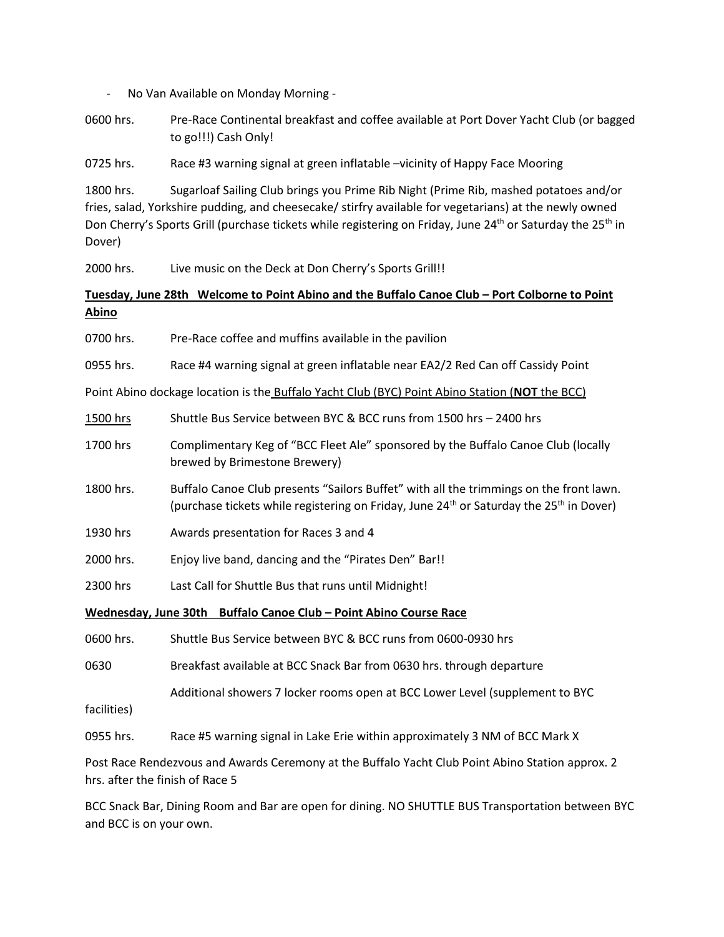- No Van Available on Monday Morning -
- 0600 hrs. Pre-Race Continental breakfast and coffee available at Port Dover Yacht Club (or bagged to go!!!) Cash Only!

0725 hrs. Race #3 warning signal at green inflatable –vicinity of Happy Face Mooring

1800 hrs. Sugarloaf Sailing Club brings you Prime Rib Night (Prime Rib, mashed potatoes and/or fries, salad, Yorkshire pudding, and cheesecake/ stirfry available for vegetarians) at the newly owned Don Cherry's Sports Grill (purchase tickets while registering on Friday, June 24<sup>th</sup> or Saturday the 25<sup>th</sup> in Dover)

2000 hrs. Live music on the Deck at Don Cherry's Sports Grill!!

## **Tuesday, June 28th Welcome to Point Abino and the Buffalo Canoe Club – Port Colborne to Point Abino**

- 0700 hrs. Pre-Race coffee and muffins available in the pavilion
- 0955 hrs. Race #4 warning signal at green inflatable near EA2/2 Red Can off Cassidy Point

Point Abino dockage location is the Buffalo Yacht Club (BYC) Point Abino Station (**NOT** the BCC)

- 1500 hrs Shuttle Bus Service between BYC & BCC runs from 1500 hrs 2400 hrs
- 1700 hrs Complimentary Keg of "BCC Fleet Ale" sponsored by the Buffalo Canoe Club (locally brewed by Brimestone Brewery)
- 1800 hrs. Buffalo Canoe Club presents "Sailors Buffet" with all the trimmings on the front lawn. (purchase tickets while registering on Friday, June 24<sup>th</sup> or Saturday the 25<sup>th</sup> in Dover)
- 1930 hrs Awards presentation for Races 3 and 4
- 2000 hrs. Enjoy live band, dancing and the "Pirates Den" Bar!!
- 2300 hrs Last Call for Shuttle Bus that runs until Midnight!

#### **Wednesday, June 30th Buffalo Canoe Club – Point Abino Course Race**

0600 hrs. Shuttle Bus Service between BYC & BCC runs from 0600-0930 hrs

0630 Breakfast available at BCC Snack Bar from 0630 hrs. through departure

Additional showers 7 locker rooms open at BCC Lower Level (supplement to BYC

- facilities)
- 0955 hrs. Race #5 warning signal in Lake Erie within approximately 3 NM of BCC Mark X

Post Race Rendezvous and Awards Ceremony at the Buffalo Yacht Club Point Abino Station approx. 2 hrs. after the finish of Race 5

BCC Snack Bar, Dining Room and Bar are open for dining. NO SHUTTLE BUS Transportation between BYC and BCC is on your own.